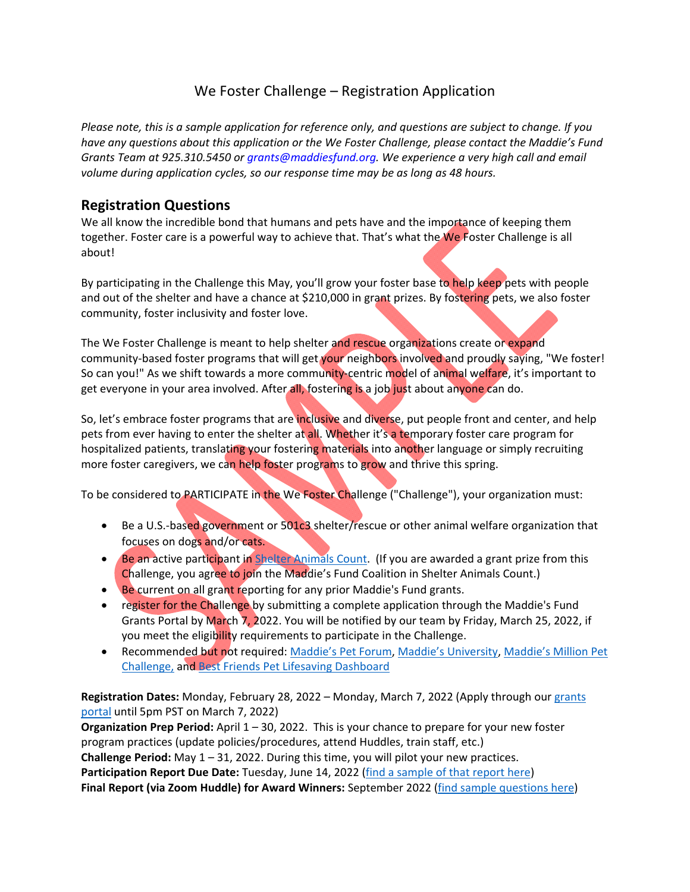# We Foster Challenge – Registration Application

Please note, this is a sample application for reference only, and questions are subject to change. If you *have any questions about this application or the We Foster Challenge, please contact the Maddie's Fund Grants Team at 925.310.5450 or grants@maddiesfund.org. We experience a very high call and email volume during application cycles, so our response time may be as long as 48 hours.*

#### **Registration Questions**

We all know the incredible bond that humans and pets have and the importance of keeping them together. Foster care is a powerful way to achieve that. That's what the We Foster Challenge is all about!

By participating in the Challenge this May, you'll grow your foster base to help keep pets with people and out of the shelter and have a chance at \$210,000 in grant prizes. By fostering pets, we also foster community, foster inclusivity and foster love.

The We Foster Challenge is meant to help shelter and rescue organizations create or expand community-based foster programs that will get your neighbors involved and proudly saying, "We foster! So can you!" As we shift towards a more community-centric model of animal welfare, it's important to get everyone in your area involved. After all, fostering is a job just about anyone can do.

So, let's embrace foster programs that are inclusive and diverse, put people front and center, and help pets from ever having to enter the shelter at all. Whether it's a temporary foster care program for hospitalized patients, translating your fostering materials into another language or simply recruiting more foster caregivers, we can help foster programs to grow and thrive this spring.

To be considered to PARTICIPATE in the We Foster Challenge ("Challenge"), your organization must:

- Be a U.S.-based government or 501c3 shelter/rescue or other animal welfare organization that focuses on dogs and/or cats.
- Be an active participant in Shelter Animals Count. (If you are awarded a grant prize from this Challenge, you agree to join the Maddie's Fund Coalition in Shelter Animals Count.)
- Be current on all grant reporting for any prior Maddie's Fund grants.
- register for the Challenge by submitting a complete application through the Maddie's Fund Grants Portal by March 7, 2022. You will be notified by our team by Friday, March 25, 2022, if you meet the eligibility requirements to participate in the Challenge.
- Recommended but not required: Maddie's Pet Forum, Maddie's University, Maddie's Million Pet Challenge, and Best Friends Pet Lifesaving Dashboard

**Registration Dates:** Monday, February 28, 2022 – Monday, March 7, 2022 (Apply through our grants portal until 5pm PST on March 7, 2022)

**Organization Prep Period:** April 1 – 30, 2022. This is your chance to prepare for your new foster program practices (update policies/procedures, attend Huddles, train staff, etc.)

**Challenge Period:** May 1 – 31, 2022. During this time, you will pilot your new practices.

**Participation Report Due Date:** Tuesday, June 14, 2022 (find a sample of that report here)

**Final Report (via Zoom Huddle) for Award Winners:** September 2022 (find sample questions here)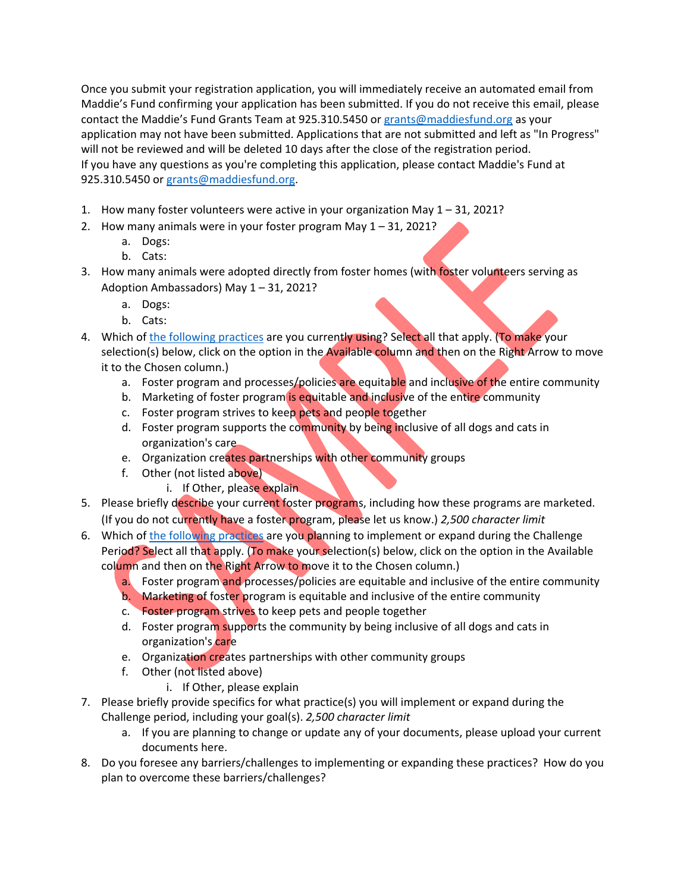Once you submit your registration application, you will immediately receive an automated email from Maddie's Fund confirming your application has been submitted. If you do not receive this email, please contact the Maddie's Fund Grants Team at 925.310.5450 or grants@maddiesfund.org as your application may not have been submitted. Applications that are not submitted and left as "In Progress" will not be reviewed and will be deleted 10 days after the close of the registration period. If you have any questions as you're completing this application, please contact Maddie's Fund at 925.310.5450 or grants@maddiesfund.org.

- 1. How many foster volunteers were active in your organization May 1 31, 2021?
- 2. How many animals were in your foster program May 1 31, 2021?
	- a. Dogs:
	- b. Cats:
- 3. How many animals were adopted directly from foster homes (with foster volunteers serving as Adoption Ambassadors) May 1 – 31, 2021?
	- a. Dogs:
	- b. Cats:
- 4. Which of the following practices are you currently using? Select all that apply. (To make your selection(s) below, click on the option in the Available column and then on the Right Arrow to move it to the Chosen column.)
	- a. Foster program and processes/policies are equitable and inclusive of the entire community
	- b. Marketing of foster program is equitable and inclusive of the entire community
	- c. Foster program strives to keep pets and people together
	- d. Foster program supports the community by being inclusive of all dogs and cats in organization's care
	- e. Organization creates partnerships with other community groups
	- f. Other (not listed above)
		- i. If Other, please explain
- 5. Please briefly describe your current foster programs, including how these programs are marketed. (If you do not currently have a foster program, please let us know.) *2,500 character limit*
- 6. Which of the following practices are you planning to implement or expand during the Challenge Period? Select all that apply. (To make your selection(s) below, click on the option in the Available column and then on the Right Arrow to move it to the Chosen column.)
	- a. Foster program and processes/policies are equitable and inclusive of the entire community
	- b. Marketing of foster program is equitable and inclusive of the entire community
	- c. Foster program strives to keep pets and people together
	- d. Foster program supports the community by being inclusive of all dogs and cats in organization's care
	- e. Organization creates partnerships with other community groups
	- f. Other (not listed above)
		- i. If Other, please explain
- 7. Please briefly provide specifics for what practice(s) you will implement or expand during the Challenge period, including your goal(s). *2,500 character limit*
	- a. If you are planning to change or update any of your documents, please upload your current documents here.
- 8. Do you foresee any barriers/challenges to implementing or expanding these practices? How do you plan to overcome these barriers/challenges?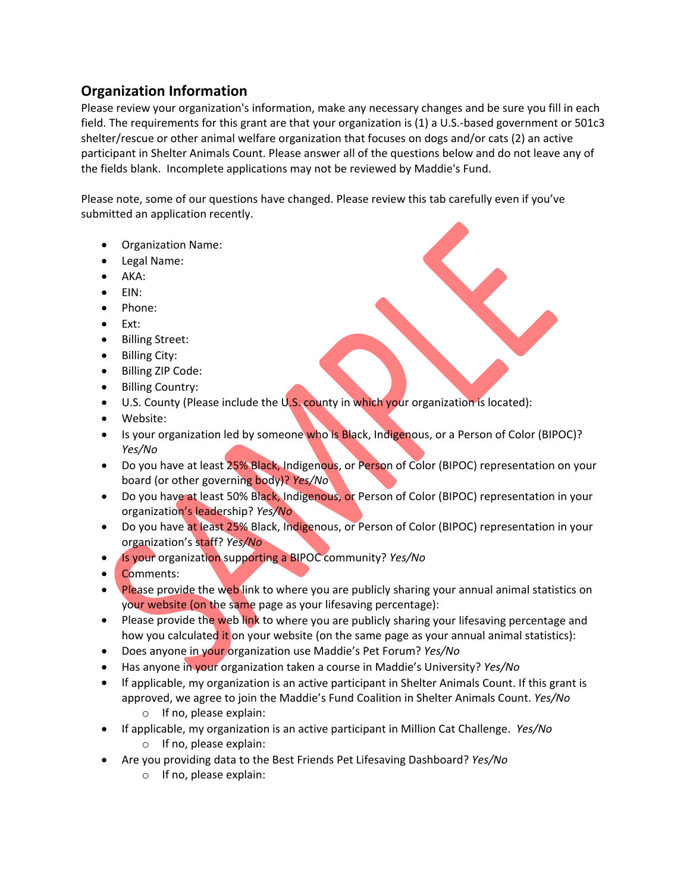## **Organization Information**

Please review your organization's information, make any necessary changes and be sure you fill in each field. The requirements for this grant are that your organization is (1) a U.S.-based government or 501c3 shelter/rescue or other animal welfare organization that focuses on dogs and/or cats (2) an active participant in Shelter Animals Count. Please answer all of the questions below and do not leave any of the fields blank. Incomplete applications may not be reviewed by Maddie's Fund.

Please note, some of our questions have changed. Please review this tab carefully even if you've submitted an application recently.

- Organization Name:
- Legal Name:
- AKA:
- EIN:
- Phone:
- Ext:
- Billing Street:
- Billing City:
- Billing ZIP Code:
- Billing Country:
- U.S. County (Please include the U.S. county in which your organization is located):
- Website:
- Is your organization led by someone who is Black, Indigenous, or a Person of Color (BIPOC)? *Yes/No*
- Do you have at least 25% Black, Indigenous, or Person of Color (BIPOC) representation on your board (or other governing body)? *Yes/No*
- Do you have at least 50% Black, Indigenous, or Person of Color (BIPOC) representation in your organization's leadership? *Yes/No*
- Do you have at least 25% Black, Indigenous, or Person of Color (BIPOC) representation in your organization's staff? *Yes/No*
- Is your organization supporting a BIPOC community? *Yes/No*
- Comments:
- Please provide the web link to where you are publicly sharing your annual animal statistics on your website (on the same page as your lifesaving percentage):
- Please provide the web link to where you are publicly sharing your lifesaving percentage and how you calculated it on your website (on the same page as your annual animal statistics):
- Does anyone in your organization use Maddie's Pet Forum? *Yes/No*
- Has anyone in your organization taken a course in Maddie's University? *Yes/No*
- If applicable, my organization is an active participant in Shelter Animals Count. If this grant is approved, we agree to join the Maddie's Fund Coalition in Shelter Animals Count. *Yes/No*
	- o If no, please explain:
- If applicable, my organization is an active participant in Million Cat Challenge. *Yes/No* o If no, please explain:
- Are you providing data to the Best Friends Pet Lifesaving Dashboard? *Yes/No*
	- o If no, please explain: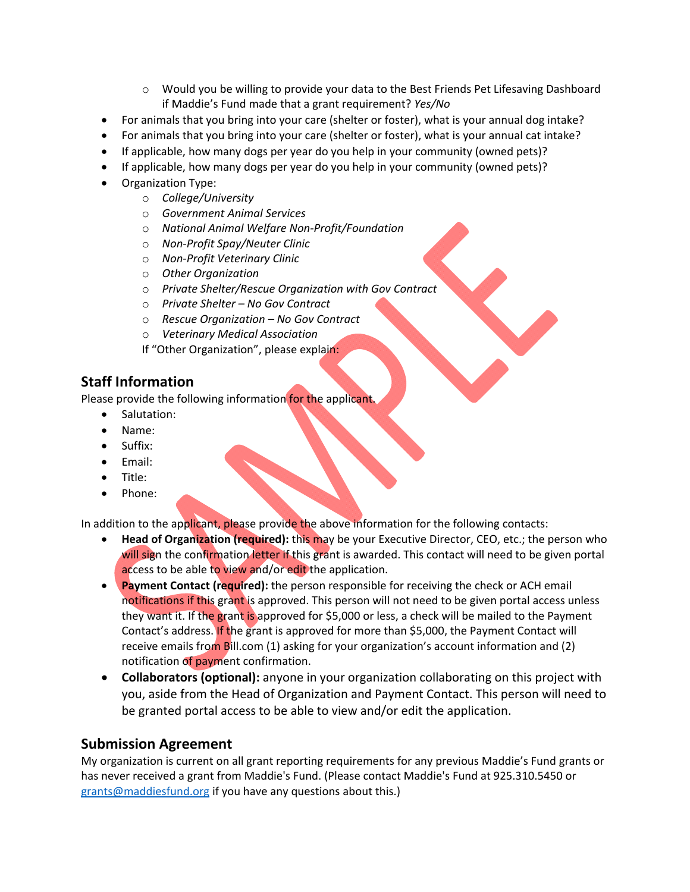- $\circ$  Would you be willing to provide your data to the Best Friends Pet Lifesaving Dashboard if Maddie's Fund made that a grant requirement? *Yes/No*
- For animals that you bring into your care (shelter or foster), what is your annual dog intake?
- For animals that you bring into your care (shelter or foster), what is your annual cat intake?
- If applicable, how many dogs per year do you help in your community (owned pets)?
- If applicable, how many dogs per year do you help in your community (owned pets)?
- Organization Type:
	- o *College/University*
	- o *Government Animal Services*
	- o *National Animal Welfare Non‐Profit/Foundation*
	- o *Non‐Profit Spay/Neuter Clinic*
	- o *Non‐Profit Veterinary Clinic*
	- o *Other Organization*
	- o *Private Shelter/Rescue Organization with Gov Contract*
	- o *Private Shelter – No Gov Contract*
	- o *Rescue Organization – No Gov Contract*
	- o *Veterinary Medical Association*
	- If "Other Organization", please explain:

## **Staff Information**

Please provide the following information for the applicant.

- Salutation:
- Name:
- Suffix:
- Email:
- Title:
- Phone:

In addition to the applicant, please provide the above information for the following contacts:

- **Head of Organization (required):** this may be your Executive Director, CEO, etc.; the person who will sign the confirmation letter if this grant is awarded. This contact will need to be given portal access to be able to view and/or edit the application.
- **Payment Contact (required):** the person responsible for receiving the check or ACH email notifications if this grant is approved. This person will not need to be given portal access unless they want it. If the grant is approved for \$5,000 or less, a check will be mailed to the Payment Contact's address. If the grant is approved for more than \$5,000, the Payment Contact will receive emails from Bill.com (1) asking for your organization's account information and (2) notification of payment confirmation.
- **Collaborators (optional):** anyone in your organization collaborating on this project with you, aside from the Head of Organization and Payment Contact. This person will need to be granted portal access to be able to view and/or edit the application.

### **Submission Agreement**

My organization is current on all grant reporting requirements for any previous Maddie's Fund grants or has never received a grant from Maddie's Fund. (Please contact Maddie's Fund at 925.310.5450 or grants@maddiesfund.org if you have any questions about this.)